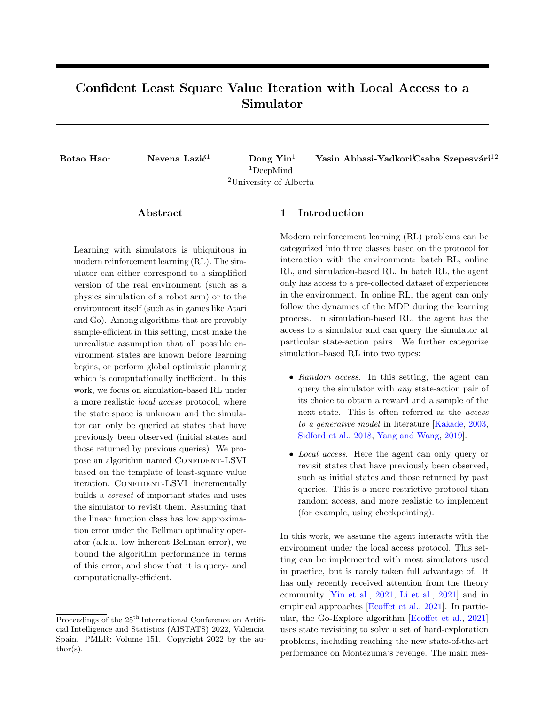# Confident Least Square Value Iteration with Local Access to a Simulator

<sup>1</sup>DeepMind <sup>2</sup>University of Alberta

Botao Hao<sup>1</sup> Nevena Lazić<sup>1</sup> Dong Yin<sup>1</sup> Yasin Abbasi-Yadkori<sup>t</sup>Csaba Szepesvári<sup>12</sup>

### Abstract

Learning with simulators is ubiquitous in modern reinforcement learning (RL). The simulator can either correspond to a simplified version of the real environment (such as a physics simulation of a robot arm) or to the environment itself (such as in games like Atari and Go). Among algorithms that are provably sample-efficient in this setting, most make the unrealistic assumption that all possible environment states are known before learning begins, or perform global optimistic planning which is computationally inefficient. In this work, we focus on simulation-based RL under a more realistic local access protocol, where the state space is unknown and the simulator can only be queried at states that have previously been observed (initial states and those returned by previous queries). We propose an algorithm named CONFIDENT-LSVI based on the template of least-square value iteration. CONFIDENT-LSVI incrementally builds a coreset of important states and uses the simulator to revisit them. Assuming that the linear function class has low approximation error under the Bellman optimality operator (a.k.a. low inherent Bellman error), we bound the algorithm performance in terms of this error, and show that it is query- and computationally-efficient.

### 1 Introduction

Modern reinforcement learning (RL) problems can be categorized into three classes based on the protocol for interaction with the environment: batch RL, online RL, and simulation-based RL. In batch RL, the agent only has access to a pre-collected dataset of experiences in the environment. In online RL, the agent can only follow the dynamics of the MDP during the learning process. In simulation-based RL, the agent has the access to a simulator and can query the simulator at particular state-action pairs. We further categorize simulation-based RL into two types:

- Random access. In this setting, the agent can query the simulator with any state-action pair of its choice to obtain a reward and a sample of the next state. This is often referred as the access to a generative model in literature [\[Kakade,](#page-9-0) [2003,](#page-9-0) [Sidford et al.,](#page-9-1) [2018,](#page-9-1) [Yang and Wang,](#page-9-2) [2019\]](#page-9-2).
- Local access. Here the agent can only query or revisit states that have previously been observed, such as initial states and those returned by past queries. This is a more restrictive protocol than random access, and more realistic to implement (for example, using checkpointing).

In this work, we assume the agent interacts with the environment under the local access protocol. This setting can be implemented with most simulators used in practice, but is rarely taken full advantage of. It has only recently received attention from the theory community [\[Yin et al.,](#page-9-3) [2021,](#page-9-3) [Li et al.,](#page-9-4) [2021\]](#page-9-4) and in empirical approaches [\[Ecoffet et al.,](#page-8-0) [2021\]](#page-8-0). In particular, the Go-Explore algorithm [\[Ecoffet et al.,](#page-8-0) [2021\]](#page-8-0) uses state revisiting to solve a set of hard-exploration problems, including reaching the new state-of-the-art performance on Montezuma's revenge. The main mes-

Proceedings of the 25<sup>th</sup> International Conference on Artificial Intelligence and Statistics (AISTATS) 2022, Valencia, Spain. PMLR: Volume 151. Copyright 2022 by the author(s).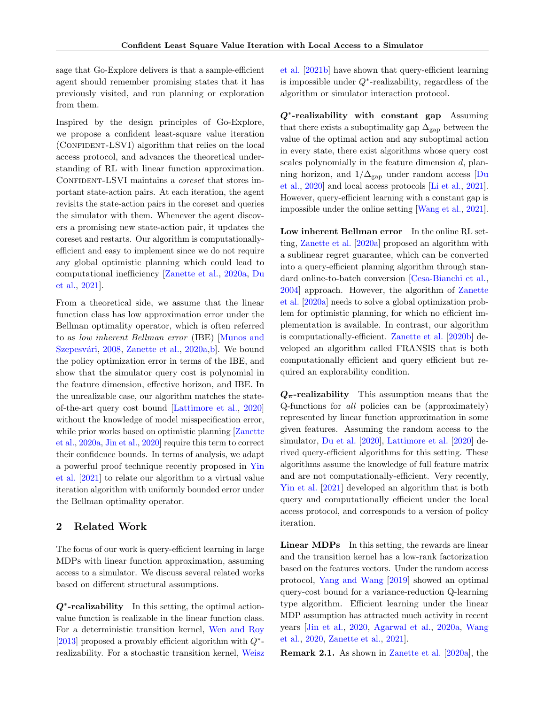sage that Go-Explore delivers is that a sample-efficient agent should remember promising states that it has previously visited, and run planning or exploration from them.

Inspired by the design principles of Go-Explore, we propose a confident least-square value iteration (CONFIDENT-LSVI) algorithm that relies on the local access protocol, and advances the theoretical understanding of RL with linear function approximation. CONFIDENT-LSVI maintains a *coreset* that stores important state-action pairs. At each iteration, the agent revisits the state-action pairs in the coreset and queries the simulator with them. Whenever the agent discovers a promising new state-action pair, it updates the coreset and restarts. Our algorithm is computationallyefficient and easy to implement since we do not require any global optimistic planning which could lead to computational inefficiency [\[Zanette et al.,](#page-9-5) [2020a,](#page-9-5) [Du](#page-8-1) [et al.,](#page-8-1) [2021\]](#page-8-1).

From a theoretical side, we assume that the linear function class has low approximation error under the Bellman optimality operator, which is often referred to as low inherent Bellman error (IBE) [\[Munos and](#page-9-6) Szepesvári, [2008,](#page-9-6) [Zanette et al.,](#page-9-5) [2020a,](#page-9-5)b. We bound the policy optimization error in terms of the IBE, and show that the simulator query cost is polynomial in the feature dimension, effective horizon, and IBE. In the unrealizable case, our algorithm matches the stateof-the-art query cost bound [\[Lattimore et al.,](#page-9-8) [2020\]](#page-9-8) without the knowledge of model misspecification error, while prior works based on optimistic planning [\[Zanette](#page-9-5) [et al.,](#page-9-5) [2020a,](#page-9-5) [Jin et al.,](#page-9-9) [2020\]](#page-9-9) require this term to correct their confidence bounds. In terms of analysis, we adapt a powerful proof technique recently proposed in [Yin](#page-9-3) [et al.](#page-9-3) [\[2021\]](#page-9-3) to relate our algorithm to a virtual value iteration algorithm with uniformly bounded error under the Bellman optimality operator.

### 2 Related Work

The focus of our work is query-efficient learning in large MDPs with linear function approximation, assuming access to a simulator. We discuss several related works based on different structural assumptions.

 $Q^*$ -realizability In this setting, the optimal actionvalue function is realizable in the linear function class. For a deterministic transition kernel, [Wen and Roy](#page-9-10) [\[2013\]](#page-9-10) proposed a provably efficient algorithm with  $Q^*$ realizability. For a stochastic transition kernel, [Weisz](#page-9-11) [et al.](#page-9-11) [\[2021b\]](#page-9-11) have shown that query-efficient learning is impossible under  $Q^*$ -realizability, regardless of the algorithm or simulator interaction protocol.

 $Q^*$ -realizability with constant gap Assuming that there exists a suboptimality gap  $\Delta_{\text{gap}}$  between the value of the optimal action and any suboptimal action in every state, there exist algorithms whose query cost scales polynomially in the feature dimension  $d$ , planning horizon, and  $1/\Delta_{\rm gap}$  under random access [\[Du](#page-8-2) [et al.,](#page-8-2) [2020\]](#page-8-2) and local access protocols [\[Li et al.,](#page-9-4) [2021\]](#page-9-4). However, query-efficient learning with a constant gap is impossible under the online setting [\[Wang et al.,](#page-9-12) [2021\]](#page-9-12).

Low inherent Bellman error In the online RL setting, [Zanette et al.](#page-9-5) [\[2020a\]](#page-9-5) proposed an algorithm with a sublinear regret guarantee, which can be converted into a query-efficient planning algorithm through standard online-to-batch conversion [\[Cesa-Bianchi et al.,](#page-8-3) [2004\]](#page-8-3) approach. However, the algorithm of [Zanette](#page-9-5) [et al.](#page-9-5) [\[2020a\]](#page-9-5) needs to solve a global optimization problem for optimistic planning, for which no efficient implementation is available. In contrast, our algorithm is computationally-efficient. [Zanette et al.](#page-9-7) [\[2020b\]](#page-9-7) developed an algorithm called FRANSIS that is both computationally efficient and query efficient but required an explorability condition.

 $Q_{\pi}$ -realizability This assumption means that the Q-functions for all policies can be (approximately) represented by linear function approximation in some given features. Assuming the random access to the simulator, [Du et al.](#page-8-2) [\[2020\]](#page-8-2), [Lattimore et al.](#page-9-8) [\[2020\]](#page-9-8) derived query-efficient algorithms for this setting. These algorithms assume the knowledge of full feature matrix and are not computationally-efficient. Very recently, [Yin et al.](#page-9-3) [\[2021\]](#page-9-3) developed an algorithm that is both query and computationally efficient under the local access protocol, and corresponds to a version of policy iteration.

Linear MDPs In this setting, the rewards are linear and the transition kernel has a low-rank factorization based on the features vectors. Under the random access protocol, [Yang and Wang](#page-9-2) [\[2019\]](#page-9-2) showed an optimal query-cost bound for a variance-reduction Q-learning type algorithm. Efficient learning under the linear MDP assumption has attracted much activity in recent years [\[Jin et al.,](#page-9-9) [2020,](#page-9-9) [Agarwal et al.,](#page-8-4) [2020a,](#page-8-4) [Wang](#page-9-13) [et al.,](#page-9-13) [2020,](#page-9-13) [Zanette et al.,](#page-9-14) [2021\]](#page-9-14).

Remark 2.1. As shown in [Zanette et al.](#page-9-5) [\[2020a\]](#page-9-5), the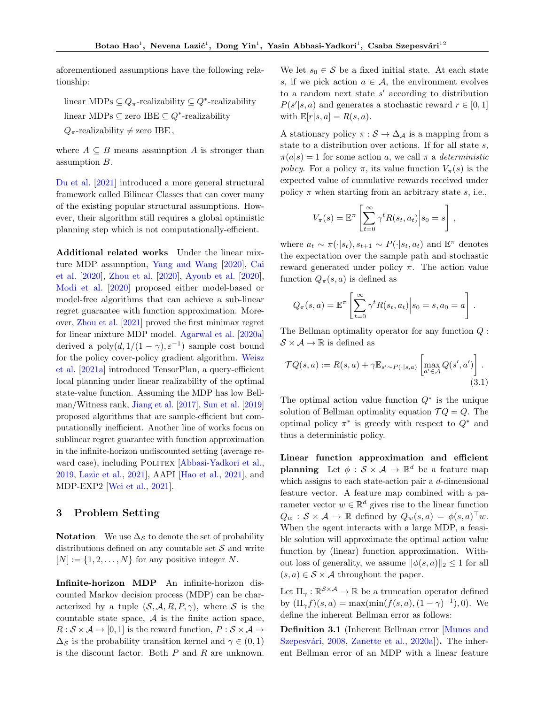aforementioned assumptions have the following relationship:

linear MDPs  $\subseteq Q_{\pi}$ -realizability  $\subseteq Q^*$ -realizability linear MDPs  $\subseteq$  zero IBE  $\subseteq Q^*$ -realizability

 $Q_{\pi}$ -realizability  $\neq$  zero IBE,

where  $A \subseteq B$  means assumption A is stronger than assumption B.

[Du et al.](#page-8-1) [\[2021\]](#page-8-1) introduced a more general structural framework called Bilinear Classes that can cover many of the existing popular structural assumptions. However, their algorithm still requires a global optimistic planning step which is not computationally-efficient.

Additional related works Under the linear mixture MDP assumption, [Yang and Wang](#page-9-15) [\[2020\]](#page-9-15), [Cai](#page-8-5) [et al.](#page-8-5) [\[2020\]](#page-8-5), [Zhou et al.](#page-10-0) [\[2020\]](#page-10-0), [Ayoub et al.](#page-8-6) [\[2020\]](#page-8-6), [Modi et al.](#page-9-16) [\[2020\]](#page-9-16) proposed either model-based or model-free algorithms that can achieve a sub-linear regret guarantee with function approximation. Moreover, [Zhou et al.](#page-10-1) [\[2021\]](#page-10-1) proved the first minimax regret for linear mixture MDP model. [Agarwal et al.](#page-8-4) [\[2020a\]](#page-8-4) derived a  $poly(d, 1/(1 - \gamma), \varepsilon^{-1})$  sample cost bound for the policy cover-policy gradient algorithm. [Weisz](#page-9-17) [et al.](#page-9-17) [\[2021a\]](#page-9-17) introduced TensorPlan, a query-efficient local planning under linear realizability of the optimal state-value function. Assuming the MDP has low Bellman/Witness rank, [Jiang et al.](#page-9-18) [\[2017\]](#page-9-18), [Sun et al.](#page-9-19) [\[2019\]](#page-9-19) proposed algorithms that are sample-efficient but computationally inefficient. Another line of works focus on sublinear regret guarantee with function approximation in the infinite-horizon undiscounted setting (average re-ward case), including POLITEX [\[Abbasi-Yadkori et al.,](#page-8-7) [2019,](#page-8-7) [Lazic et al.,](#page-9-20) [2021\]](#page-9-20), AAPI [\[Hao et al.,](#page-8-8) [2021\]](#page-8-8), and MDP-EXP2 [\[Wei et al.,](#page-9-21) [2021\]](#page-9-21).

### 3 Problem Setting

**Notation** We use  $\Delta_{\mathcal{S}}$  to denote the set of probability distributions defined on any countable set  $S$  and write  $[N] := \{1, 2, \ldots, N\}$  for any positive integer N.

Infinite-horizon MDP An infinite-horizon discounted Markov decision process (MDP) can be characterized by a tuple  $(S, \mathcal{A}, R, P, \gamma)$ , where S is the countable state space,  $A$  is the finite action space,  $R : \mathcal{S} \times \mathcal{A} \rightarrow [0, 1]$  is the reward function,  $P : \mathcal{S} \times \mathcal{A} \rightarrow$  $\Delta_{\mathcal{S}}$  is the probability transition kernel and  $\gamma \in (0,1)$ is the discount factor. Both  $P$  and  $R$  are unknown.

We let  $s_0 \in \mathcal{S}$  be a fixed initial state. At each state s, if we pick action  $a \in \mathcal{A}$ , the environment evolves to a random next state  $s'$  according to distribution  $P(s'|s, a)$  and generates a stochastic reward  $r \in [0, 1]$ with  $\mathbb{E}[r|s,a] = R(s,a)$ .

A stationary policy  $\pi : \mathcal{S} \to \Delta_{\mathcal{A}}$  is a mapping from a state to a distribution over actions. If for all state s,  $\pi(a|s) = 1$  for some action a, we call  $\pi$  a deterministic policy. For a policy  $\pi$ , its value function  $V_{\pi}(s)$  is the expected value of cumulative rewards received under policy  $\pi$  when starting from an arbitrary state s, i.e.,

$$
V_{\pi}(s) = \mathbb{E}^{\pi} \left[ \sum_{t=0}^{\infty} \gamma^{t} R(s_t, a_t) \Big| s_0 = s \right],
$$

where  $a_t \sim \pi(\cdot|s_t), s_{t+1} \sim P(\cdot|s_t, a_t)$  and  $\mathbb{E}^{\pi}$  denotes the expectation over the sample path and stochastic reward generated under policy  $\pi$ . The action value function  $Q_{\pi}(s, a)$  is defined as

$$
Q_{\pi}(s, a) = \mathbb{E}^{\pi} \left[ \sum_{t=0}^{\infty} \gamma^{t} R(s_t, a_t) \middle| s_0 = s, a_0 = a \right].
$$

The Bellman optimality operator for any function Q :  $S \times A \rightarrow \mathbb{R}$  is defined as

$$
\mathcal{T}Q(s,a) := R(s,a) + \gamma \mathbb{E}_{s' \sim P(\cdot|s,a)} \left[ \max_{a' \in \mathcal{A}} Q(s',a') \right].
$$
\n(3.1)

The optimal action value function  $Q^*$  is the unique solution of Bellman optimality equation  $\mathcal{T} Q = Q$ . The optimal policy  $\pi^*$  is greedy with respect to  $Q^*$  and thus a deterministic policy.

Linear function approximation and efficient planning Let  $\phi : \mathcal{S} \times \mathcal{A} \to \mathbb{R}^d$  be a feature map which assigns to each state-action pair a d-dimensional feature vector. A feature map combined with a parameter vector  $w \in \mathbb{R}^d$  gives rise to the linear function  $Q_w : \mathcal{S} \times \mathcal{A} \to \mathbb{R}$  defined by  $Q_w(s, a) = \phi(s, a)^\top w$ . When the agent interacts with a large MDP, a feasible solution will approximate the optimal action value function by (linear) function approximation. Without loss of generality, we assume  $\|\phi(s, a)\|_2 \leq 1$  for all  $(s, a) \in \mathcal{S} \times \mathcal{A}$  throughout the paper.

Let  $\Pi_{\gamma}: \mathbb{R}^{\mathcal{S} \times \mathcal{A}} \to \mathbb{R}$  be a truncation operator defined by  $(\Pi_{\gamma} f)(s, a) = \max(\min(f(s, a), (1 - \gamma)^{-1}), 0)$ . We define the inherent Bellman error as follows:

<span id="page-2-0"></span>Definition 3.1 (Inherent Bellman error [\[Munos and](#page-9-6) Szepesvári, [2008,](#page-9-6) [Zanette et al.,](#page-9-5) [2020a\]](#page-9-5)). The inherent Bellman error of an MDP with a linear feature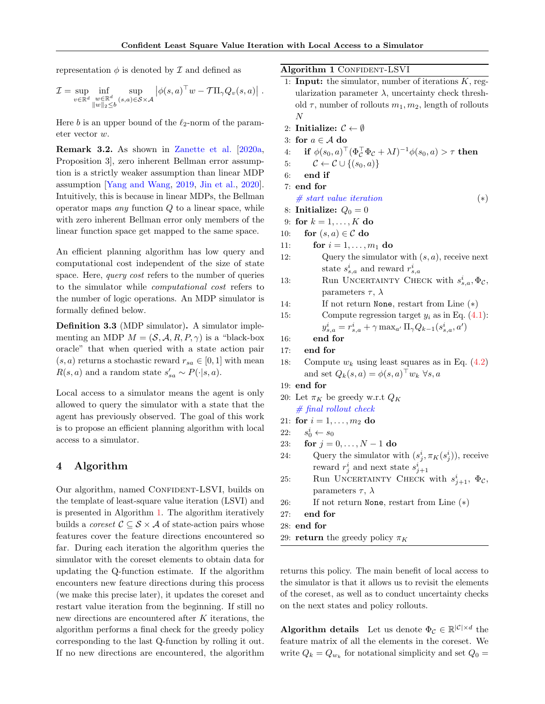representation  $\phi$  is denoted by  $\mathcal I$  and defined as

$$
\mathcal{I} = \sup_{v \in \mathbb{R}^d} \inf_{\substack{w \in \mathbb{R}^d \\ \|w\|_2 \le b}} \sup_{(s,a) \in \mathcal{S} \times \mathcal{A}} \left| \phi(s,a)^\top w - \mathcal{T} \Pi_\gamma Q_v(s,a) \right| .
$$

Here b is an upper bound of the  $\ell_2$ -norm of the parameter vector w.

Remark 3.2. As shown in [Zanette et al.](#page-9-5) [\[2020a,](#page-9-5) Proposition 3], zero inherent Bellman error assumption is a strictly weaker assumption than linear MDP assumption [\[Yang and Wang,](#page-9-2) [2019,](#page-9-2) [Jin et al.,](#page-9-9) [2020\]](#page-9-9). Intuitively, this is because in linear MDPs, the Bellman operator maps *any* function  $Q$  to a linear space, while with zero inherent Bellman error only members of the linear function space get mapped to the same space.

An efficient planning algorithm has low query and computational cost independent of the size of state space. Here, query cost refers to the number of queries to the simulator while computational cost refers to the number of logic operations. An MDP simulator is formally defined below.

Definition 3.3 (MDP simulator). A simulator implementing an MDP  $M = (\mathcal{S}, \mathcal{A}, R, P, \gamma)$  is a "black-box" oracle" that when queried with a state action pair  $(s, a)$  returns a stochastic reward  $r_{sa} \in [0, 1]$  with mean  $R(s, a)$  and a random state  $s'_{sa} \sim P(\cdot | s, a)$ .

Local access to a simulator means the agent is only allowed to query the simulator with a state that the agent has previously observed. The goal of this work is to propose an efficient planning algorithm with local access to a simulator.

### 4 Algorithm

Our algorithm, named CONFIDENT-LSVI, builds on the template of least-square value iteration (LSVI) and is presented in Algorithm [1.](#page-3-0) The algorithm iteratively builds a *coreset*  $C \subseteq S \times A$  of state-action pairs whose features cover the feature directions encountered so far. During each iteration the algorithm queries the simulator with the coreset elements to obtain data for updating the Q-function estimate. If the algorithm encounters new feature directions during this process (we make this precise later), it updates the coreset and restart value iteration from the beginning. If still no new directions are encountered after  $K$  iterations, the algorithm performs a final check for the greedy policy corresponding to the last Q-function by rolling it out. If no new directions are encountered, the algorithm <span id="page-3-0"></span>Algorithm 1 CONFIDENT-LSVI

- 1: **Input:** the simulator, number of iterations  $K$ , regularization parameter  $\lambda$ , uncertainty check threshold  $\tau$ , number of rollouts  $m_1, m_2$ , length of rollouts N
- 2: Initialize:  $\mathcal{C} \leftarrow \emptyset$
- 3: for  $a \in \mathcal{A}$  do
- 4: if  $\phi(s_0, a)^\top (\Phi_\mathcal{C}^\top \Phi_\mathcal{C} + \lambda I)^{-1} \phi(s_0, a) > \tau$  then
- 5:  $\mathcal{C} \leftarrow \mathcal{C} \cup \{(s_0, a)\}\$
- 6: end if
- 7: end for
	- $# start value iteration$  (\*)
- 8: Initialize:  $Q_0 = 0$
- 9: for  $k = 1, ..., K$  do
- 10: for  $(s, a) \in \mathcal{C}$  do
- 11: **for**  $i = 1, ..., m_1$  **do**
- 12: Query the simulator with  $(s, a)$ , receive next state  $s_{s,a}^i$  and reward  $r_{s,a}^i$
- 13: Run UNCERTAINTY CHECK with  $s_{s,a}^i, \Phi_{\mathcal{C}}$ , parameters  $\tau$ ,  $\lambda$
- 14: If not return None, restart from Line  $(*)$

15: Compute regression target 
$$
y_i
$$
 as in Eq. (4.1):  
\n
$$
y_{s,a}^i = r_{s,a}^i + \gamma \max_{a'} \Pi_{\gamma} Q_{k-1}(s_{s,a}^i, a')
$$

- 16: end for
- 17: end for
- 18: Compute  $w_k$  using least squares as in Eq. [\(4.2\)](#page-4-1) and set  $Q_k(s, a) = \phi(s, a)^\top w_k \,\forall s, a$
- 19: end for
- 20: Let  $\pi_K$  be greedy w.r.t  $Q_K$  $#$  final rollout check
- 21: for  $i = 1, ..., m_2$  do
- $22:$  $i\atop 0\leftarrow s_0$
- 23: for  $j = 0, ..., N 1$  do
- 24: Query the simulator with  $(s_j^i, \pi_K(s_j^i))$ , receive reward  $r_j^i$  and next state  $s_{j+1}^i$
- 25: Run UNCERTAINTY CHECK with  $s_{j+1}^i$ ,  $\Phi_c$ , parameters  $\tau$ ,  $\lambda$
- 26: If not return None, restart from Line  $(*)$
- 27: end for
- 28: end for
- 29: return the greedy policy  $\pi_K$

returns this policy. The main benefit of local access to the simulator is that it allows us to revisit the elements of the coreset, as well as to conduct uncertainty checks on the next states and policy rollouts.

**Algorithm details** Let us denote  $\Phi_{\mathcal{C}} \in \mathbb{R}^{|\mathcal{C}| \times d}$  the feature matrix of all the elements in the coreset. We write  $Q_k = Q_{w_k}$  for notational simplicity and set  $Q_0 =$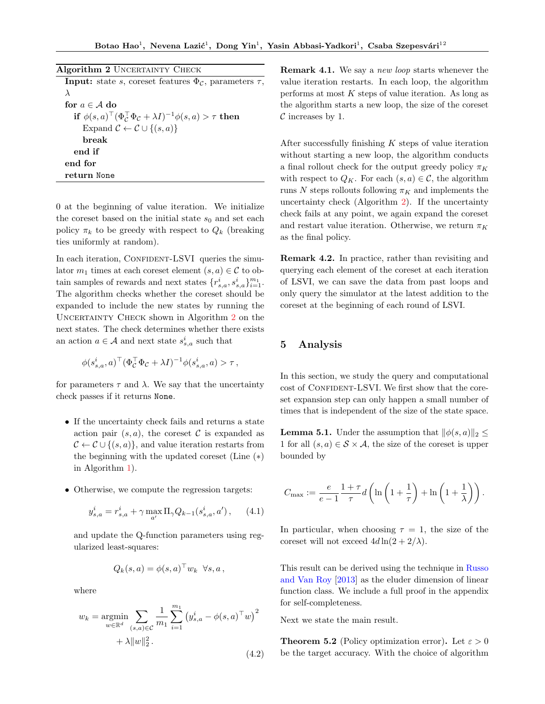<span id="page-4-2"></span>

| Algorithm 2 UNCERTAINTY CHECK                                                      |
|------------------------------------------------------------------------------------|
| <b>Input:</b> state s, coreset features $\Phi_{\mathcal{C}}$ , parameters $\tau$ , |
| $\lambda$                                                                          |
| for $a \in A$ do                                                                   |
| if $\phi(s,a)^\top (\Phi_c^\top \Phi_c + \lambda I)^{-1} \phi(s,a) > \tau$ then    |
| Expand $\mathcal{C} \leftarrow \mathcal{C} \cup \{(s,a)\}\$                        |
| hreak                                                                              |
| end if                                                                             |
| end for                                                                            |
| return None                                                                        |

0 at the beginning of value iteration. We initialize the coreset based on the initial state  $s_0$  and set each policy  $\pi_k$  to be greedy with respect to  $Q_k$  (breaking ties uniformly at random).

In each iteration, CONFIDENT-LSVI queries the simulator  $m_1$  times at each coreset element  $(s, a) \in \mathcal{C}$  to obtain samples of rewards and next states  $\{r_{s,a}^i, s_{s,a}^i\}_{i=1}^{m_1}$ . The algorithm checks whether the coreset should be expanded to include the new states by running the UNCERTAINTY CHECK shown in Algorithm [2](#page-4-2) on the next states. The check determines whether there exists an action  $a \in \mathcal{A}$  and next state  $s_{s,a}^i$  such that

$$
\phi(s_{s,a}^i, a)^\top (\Phi_C^\top \Phi_C + \lambda I)^{-1} \phi(s_{s,a}^i, a) > \tau,
$$

for parameters  $\tau$  and  $\lambda$ . We say that the uncertainty check passes if it returns None.

- If the uncertainty check fails and returns a state action pair  $(s, a)$ , the coreset C is expanded as  $\mathcal{C} \leftarrow \mathcal{C} \cup \{(s, a)\}\,$  and value iteration restarts from the beginning with the updated coreset (Line (∗) in Algorithm [1\)](#page-3-0).
- Otherwise, we compute the regression targets:

<span id="page-4-0"></span>
$$
y_{s,a}^i = r_{s,a}^i + \gamma \max_{a'} \Pi_\gamma Q_{k-1}(s_{s,a}^i, a'), \qquad (4.1)
$$

and update the Q-function parameters using regularized least-squares:

$$
Q_k(s, a) = \phi(s, a)^\top w_k \ \forall s, a,
$$

where

<span id="page-4-1"></span>
$$
w_k = \underset{w \in \mathbb{R}^d}{\text{argmin}} \sum_{(s,a) \in \mathcal{C}} \frac{1}{m_1} \sum_{i=1}^{m_1} (y_{s,a}^i - \phi(s,a)^\top w)^2 + \lambda \|w\|_2^2.
$$
\n(4.2)

**Remark 4.1.** We say a *new loop* starts whenever the value iteration restarts. In each loop, the algorithm performs at most  $K$  steps of value iteration. As long as the algorithm starts a new loop, the size of the coreset  $\mathcal C$  increases by 1.

After successfully finishing  $K$  steps of value iteration without starting a new loop, the algorithm conducts a final rollout check for the output greedy policy  $\pi_K$ with respect to  $Q_K$ . For each  $(s, a) \in \mathcal{C}$ , the algorithm runs N steps rollouts following  $\pi_K$  and implements the uncertainty check (Algorithm [2\)](#page-4-2). If the uncertainty check fails at any point, we again expand the coreset and restart value iteration. Otherwise, we return  $\pi_K$ as the final policy.

Remark 4.2. In practice, rather than revisiting and querying each element of the coreset at each iteration of LSVI, we can save the data from past loops and only query the simulator at the latest addition to the coreset at the beginning of each round of LSVI.

### 5 Analysis

In this section, we study the query and computational cost of CONFIDENT-LSVI. We first show that the coreset expansion step can only happen a small number of times that is independent of the size of the state space.

<span id="page-4-3"></span>**Lemma 5.1.** Under the assumption that  $\|\phi(s, a)\|_2 \leq$ 1 for all  $(s, a) \in S \times A$ , the size of the coreset is upper bounded by

$$
C_{\max} := \frac{e}{e-1} \frac{1+\tau}{\tau} d\left(\ln\left(1+\frac{1}{\tau}\right) + \ln\left(1+\frac{1}{\lambda}\right)\right).
$$

In particular, when choosing  $\tau = 1$ , the size of the coreset will not exceed  $4d\ln(2+2/\lambda)$ .

This result can be derived using the technique in [Russo](#page-9-22) [and Van Roy](#page-9-22) [\[2013\]](#page-9-22) as the eluder dimension of linear function class. We include a full proof in the appendix for self-completeness.

<span id="page-4-4"></span>Next we state the main result.

**Theorem 5.2** (Policy optimization error). Let  $\varepsilon > 0$ be the target accuracy. With the choice of algorithm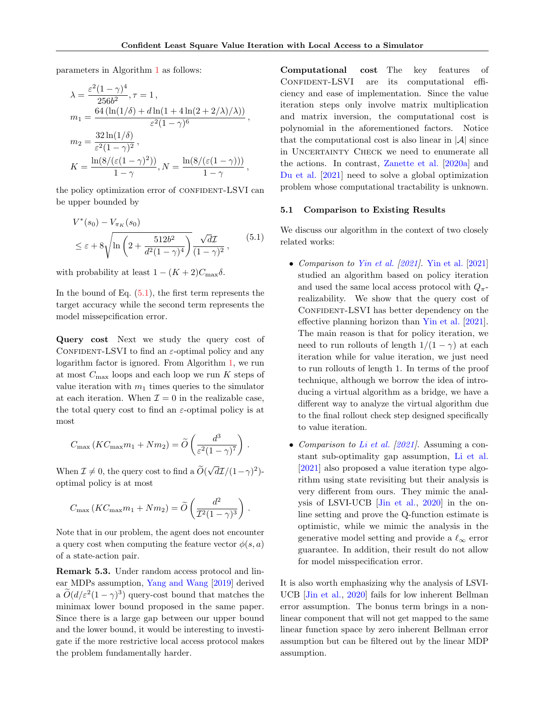parameters in Algorithm [1](#page-3-0) as follows:

$$
\lambda = \frac{\varepsilon^2 (1 - \gamma)^4}{256b^2}, \tau = 1,
$$
  
\n
$$
m_1 = \frac{64 (\ln(1/\delta) + d \ln(1 + 4 \ln(2 + 2/\lambda)/\lambda))}{\varepsilon^2 (1 - \gamma)^6},
$$
  
\n
$$
m_2 = \frac{32 \ln(1/\delta)}{\varepsilon^2 (1 - \gamma)^2},
$$
  
\n
$$
K = \frac{\ln(8/(\varepsilon(1 - \gamma)^2))}{1 - \gamma}, N = \frac{\ln(8/(\varepsilon(1 - \gamma)))}{1 - \gamma},
$$

the policy optimization error of CONFIDENT-LSVI can be upper bounded by

<span id="page-5-0"></span>
$$
V^*(s_0) - V_{\pi_K}(s_0)
$$
  
\n
$$
\leq \varepsilon + 8 \sqrt{\ln \left(2 + \frac{512b^2}{d^2(1-\gamma)^4}\right)} \frac{\sqrt{d\mathcal{I}}}{(1-\gamma)^2},
$$
\n(5.1)

with probability at least  $1 - (K + 2)C_{\text{max}}\delta$ .

In the bound of Eq.  $(5.1)$ , the first term represents the target accuracy while the second term represents the model missepcification error.

Query cost Next we study the query cost of CONFIDENT-LSVI to find an  $\varepsilon$ -optimal policy and any logarithm factor is ignored. From Algorithm [1,](#page-3-0) we run at most  $C_{\text{max}}$  loops and each loop we run K steps of value iteration with  $m_1$  times queries to the simulator at each iteration. When  $\mathcal{I} = 0$  in the realizable case, the total query cost to find an  $\varepsilon$ -optimal policy is at most

$$
C_{\max} (KC_{\max} m_1 + N m_2) = \widetilde{O}\left(\frac{d^3}{\varepsilon^2 (1 - \gamma)^7}\right).
$$

When  $\mathcal{I} \neq 0$ , the query cost to find a  $O(\frac{1}{\sqrt{2}})$ √  $\overline{d\mathcal{I}}/(1-\gamma)^2$ )optimal policy is at most

$$
C_{\max} (KC_{\max} m_1 + Nm_2) = \widetilde{O}\left(\frac{d^2}{\mathcal{I}^2 (1 - \gamma)^3}\right)
$$

.

Note that in our problem, the agent does not encounter a query cost when computing the feature vector  $\phi(s, a)$ of a state-action pair.

Remark 5.3. Under random access protocol and linear MDPs assumption, [Yang and Wang](#page-9-2) [\[2019\]](#page-9-2) derived a  $\tilde{O}(d/\varepsilon^2(1-\gamma)^3)$  query-cost bound that matches the minimax lower bound proposed in the same paper. Since there is a large gap between our upper bound and the lower bound, it would be interesting to investigate if the more restrictive local access protocol makes the problem fundamentally harder.

Computational cost The key features of CONFIDENT-LSVI are its computational efficiency and ease of implementation. Since the value iteration steps only involve matrix multiplication and matrix inversion, the computational cost is polynomial in the aforementioned factors. Notice that the computational cost is also linear in  $|\mathcal{A}|$  since in UNCERTAINTY CHECK we need to enumerate all the actions. In contrast, [Zanette et al.](#page-9-5) [\[2020a\]](#page-9-5) and [Du et al.](#page-8-1) [\[2021\]](#page-8-1) need to solve a global optimization problem whose computational tractability is unknown.

#### 5.1 Comparison to Existing Results

We discuss our algorithm in the context of two closely related works:

- Comparison to [Yin et al.](#page-9-3) [\[2021\]](#page-9-3). [Yin et al.](#page-9-3) [\[2021\]](#page-9-3) studied an algorithm based on policy iteration and used the same local access protocol with  $Q_{\pi}$ realizability. We show that the query cost of CONFIDENT-LSVI has better dependency on the effective planning horizon than [Yin et al.](#page-9-3) [\[2021\]](#page-9-3). The main reason is that for policy iteration, we need to run rollouts of length  $1/(1 - \gamma)$  at each iteration while for value iteration, we just need to run rollouts of length 1. In terms of the proof technique, although we borrow the idea of introducing a virtual algorithm as a bridge, we have a different way to analyze the virtual algorithm due to the final rollout check step designed specifically to value iteration.
- Comparison to [Li et al.](#page-9-4)  $[2021]$ . Assuming a constant sub-optimality gap assumption, [Li et al.](#page-9-4) [\[2021\]](#page-9-4) also proposed a value iteration type algorithm using state revisiting but their analysis is very different from ours. They mimic the analysis of LSVI-UCB [\[Jin et al.,](#page-9-9) [2020\]](#page-9-9) in the online setting and prove the Q-function estimate is optimistic, while we mimic the analysis in the generative model setting and provide a  $\ell_{\infty}$  error guarantee. In addition, their result do not allow for model misspecification error.

It is also worth emphasizing why the analysis of LSVI-UCB [\[Jin et al.,](#page-9-9) [2020\]](#page-9-9) fails for low inherent Bellman error assumption. The bonus term brings in a nonlinear component that will not get mapped to the same linear function space by zero inherent Bellman error assumption but can be filtered out by the linear MDP assumption.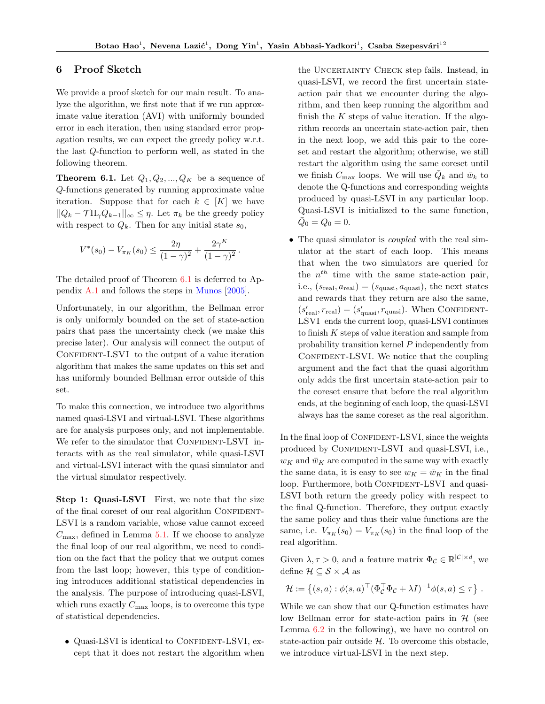.

### 6 Proof Sketch

We provide a proof sketch for our main result. To analyze the algorithm, we first note that if we run approximate value iteration (AVI) with uniformly bounded error in each iteration, then using standard error propagation results, we can expect the greedy policy w.r.t. the last Q-function to perform well, as stated in the following theorem.

<span id="page-6-0"></span>**Theorem 6.1.** Let  $Q_1, Q_2, ..., Q_K$  be a sequence of Q-functions generated by running approximate value iteration. Suppose that for each  $k \in [K]$  we have  $||Q_k - \mathcal{T} \Pi_{\gamma} Q_{k-1}||_{\infty} \leq \eta$ . Let  $\pi_k$  be the greedy policy with respect to  $Q_k$ . Then for any initial state  $s_0$ ,

$$
V^*(s_0) - V_{\pi_K}(s_0) \le \frac{2\eta}{(1-\gamma)^2} + \frac{2\gamma^K}{(1-\gamma)^2}
$$

The detailed proof of Theorem [6.1](#page-6-0) is deferred to Appendix [A.1](#page-11-0) and follows the steps in [Munos](#page-9-23) [\[2005\]](#page-9-23).

Unfortunately, in our algorithm, the Bellman error is only uniformly bounded on the set of state-action pairs that pass the uncertainty check (we make this precise later). Our analysis will connect the output of CONFIDENT-LSVI to the output of a value iteration algorithm that makes the same updates on this set and has uniformly bounded Bellman error outside of this set.

To make this connection, we introduce two algorithms named quasi-LSVI and virtual-LSVI. These algorithms are for analysis purposes only, and not implementable. We refer to the simulator that CONFIDENT-LSVI interacts with as the real simulator, while quasi-LSVI and virtual-LSVI interact with the quasi simulator and the virtual simulator respectively.

<span id="page-6-1"></span>Step 1: Quasi-LSVI First, we note that the size of the final coreset of our real algorithm CONFIDENT-LSVI is a random variable, whose value cannot exceed  $C_{\text{max}}$ , defined in Lemma [5.1.](#page-4-3) If we choose to analyze the final loop of our real algorithm, we need to condition on the fact that the policy that we output comes from the last loop; however, this type of conditioning introduces additional statistical dependencies in the analysis. The purpose of introducing quasi-LSVI, which runs exactly  $C_{\text{max}}$  loops, is to overcome this type of statistical dependencies.

 $\bullet$  Quasi-LSVI is identical to CONFIDENT-LSVI, except that it does not restart the algorithm when

the Uncertainty Check step fails. Instead, in quasi-LSVI, we record the first uncertain stateaction pair that we encounter during the algorithm, and then keep running the algorithm and finish the  $K$  steps of value iteration. If the algorithm records an uncertain state-action pair, then in the next loop, we add this pair to the coreset and restart the algorithm; otherwise, we still restart the algorithm using the same coreset until we finish  $C_{\text{max}}$  loops. We will use  $\overline{Q}_k$  and  $\overline{w}_k$  to denote the Q-functions and corresponding weights produced by quasi-LSVI in any particular loop. Quasi-LSVI is initialized to the same function,  $\bar{Q}_0 = Q_0 = 0.$ 

• The quasi simulator is *coupled* with the real simulator at the start of each loop. This means that when the two simulators are queried for the  $n^{th}$  time with the same state-action pair, i.e.,  $(s_{\text{real}}, a_{\text{real}}) = (s_{\text{quasi}}, a_{\text{quasi}})$ , the next states and rewards that they return are also the same,  $(s'_{\text{real}}, r_{\text{real}}) = (s'_{\text{quasi}}, r_{\text{quasi}})$ . When CONFIDENT-LSVI ends the current loop, quasi-LSVI continues to finish  $K$  steps of value iteration and sample from probability transition kernel P independently from CONFIDENT-LSVI. We notice that the coupling argument and the fact that the quasi algorithm only adds the first uncertain state-action pair to the coreset ensure that before the real algorithm ends, at the beginning of each loop, the quasi-LSVI always has the same coreset as the real algorithm.

In the final loop of CONFIDENT-LSVI, since the weights produced by CONFIDENT-LSVI and quasi-LSVI, i.e.,  $w_K$  and  $\bar{w}_K$  are computed in the same way with exactly the same data, it is easy to see  $w_K = \bar{w}_K$  in the final loop. Furthermore, both CONFIDENT-LSVI and quasi-LSVI both return the greedy policy with respect to the final Q-function. Therefore, they output exactly the same policy and thus their value functions are the same, i.e.  $V_{\pi_K}(s_0) = V_{\bar{\pi}_K}(s_0)$  in the final loop of the real algorithm.

Given  $\lambda, \tau > 0$ , and a feature matrix  $\Phi_{\mathcal{C}} \in \mathbb{R}^{|\mathcal{C}| \times d}$ , we define  $\mathcal{H} \subseteq \mathcal{S} \times \mathcal{A}$  as

$$
\mathcal{H} := \left\{ (s, a) : \phi(s, a)^\top (\Phi_C^\top \Phi_C + \lambda I)^{-1} \phi(s, a) \leq \tau \right\}.
$$

While we can show that our Q-function estimates have low Bellman error for state-action pairs in  $H$  (see Lemma [6.2](#page-7-0) in the following), we have no control on state-action pair outside  $H$ . To overcome this obstacle, we introduce virtual-LSVI in the next step.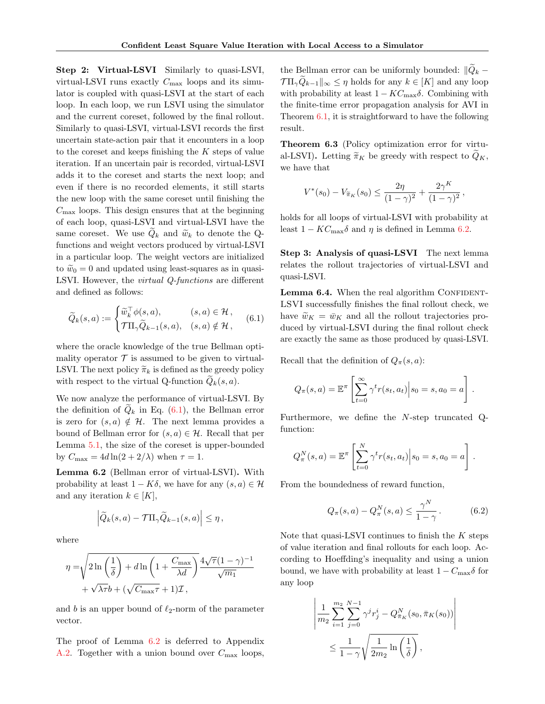Step 2: Virtual-LSVI Similarly to quasi-LSVI, virtual-LSVI runs exactly  $C_{\text{max}}$  loops and its simulator is coupled with quasi-LSVI at the start of each loop. In each loop, we run LSVI using the simulator and the current coreset, followed by the final rollout. Similarly to quasi-LSVI, virtual-LSVI records the first uncertain state-action pair that it encounters in a loop to the coreset and keeps finishing the  $K$  steps of value iteration. If an uncertain pair is recorded, virtual-LSVI adds it to the coreset and starts the next loop; and even if there is no recorded elements, it still starts the new loop with the same coreset until finishing the  $C_{\text{max}}$  loops. This design ensures that at the beginning of each loop, quasi-LSVI and virtual-LSVI have the same coreset. We use  $\widetilde{Q}_k$  and  $\widetilde{w}_k$  to denote the Qfunctions and weight vectors produced by virtual-LSVI in a particular loop. The weight vectors are initialized to  $\tilde{w}_0 = 0$  and updated using least-squares as in quasi-LSVI. However, the virtual Q-functions are different and defined as follows:

$$
\widetilde{Q}_k(s, a) := \begin{cases} \widetilde{w}_k^\top \phi(s, a), & (s, a) \in \mathcal{H}, \\ \mathcal{T} \Pi_\gamma \widetilde{Q}_{k-1}(s, a), & (s, a) \notin \mathcal{H}, \end{cases}
$$
(6.1)

where the oracle knowledge of the true Bellman optimality operator  $\mathcal T$  is assumed to be given to virtual-LSVI. The next policy  $\widetilde{\pi}_k$  is defined as the greedy policy with respect to the virtual Q-function  $\widetilde{Q}_k(s, a)$ .

We now analyze the performance of virtual-LSVI. By the definition of  $Q_k$  in Eq. [\(6.1\)](#page-7-1), the Bellman error is zero for  $(s, a) \notin \mathcal{H}$ . The next lemma provides a bound of Bellman error for  $(s, a) \in \mathcal{H}$ . Recall that per Lemma [5.1,](#page-4-3) the size of the coreset is upper-bounded by  $C_{\text{max}} = 4d \ln(2 + 2/\lambda)$  when  $\tau = 1$ .

<span id="page-7-0"></span>Lemma 6.2 (Bellman error of virtual-LSVI). With probability at least  $1 - K\delta$ , we have for any  $(s, a) \in \mathcal{H}$ and any iteration  $k \in [K],$ 

$$
\left|\widetilde{Q}_k(s,a)-\mathcal{T}\Pi_{\gamma}\widetilde{Q}_{k-1}(s,a)\right|\leq\eta,
$$

where

$$
\eta = \sqrt{2 \ln\left(\frac{1}{\delta}\right) + d \ln\left(1 + \frac{C_{\text{max}}}{\lambda d}\right)} \frac{4\sqrt{\tau}(1-\gamma)^{-1}}{\sqrt{m_1}} + \sqrt{\lambda \tau} b + (\sqrt{C_{\text{max}}\tau} + 1)\mathcal{I},
$$

and b is an upper bound of  $\ell_2$ -norm of the parameter vector.

The proof of Lemma [6.2](#page-7-0) is deferred to Appendix [A.2.](#page-11-1) Together with a union bound over  $C_{\text{max}}$  loops,

the Bellman error can be uniformly bounded:  $\|\tilde{Q}_k \text{TH}_{\gamma}Q_{k-1}\Vert_{\infty} \leq \eta$  holds for any  $k \in [K]$  and any loop with probability at least  $1 - KC_{\text{max}}\delta$ . Combining with the finite-time error propagation analysis for AVI in Theorem [6.1,](#page-6-0) it is straightforward to have the following result.

<span id="page-7-3"></span>Theorem 6.3 (Policy optimization error for virtual-LSVI). Letting  $\widetilde{\pi}_K$  be greedy with respect to  $\widetilde{Q}_K$ , we have that

$$
V^*(s_0) - V_{\widetilde{\pi}_K}(s_0) \le \frac{2\eta}{(1-\gamma)^2} + \frac{2\gamma^K}{(1-\gamma)^2},
$$

holds for all loops of virtual-LSVI with probability at least  $1 - KC_{\text{max}}\delta$  and  $\eta$  is defined in Lemma [6.2.](#page-7-0)

Step 3: Analysis of quasi-LSVI The next lemma relates the rollout trajectories of virtual-LSVI and quasi-LSVI.

<span id="page-7-2"></span><span id="page-7-1"></span>**Lemma 6.4.** When the real algorithm CONFIDENT-LSVI successfully finishes the final rollout check, we have  $\widetilde{w}_K = \overline{w}_K$  and all the rollout trajectories produced by virtual-LSVI during the final rollout check are exactly the same as those produced by quasi-LSVI.

Recall that the definition of  $Q_{\pi}(s, a)$ :

$$
Q_{\pi}(s, a) = \mathbb{E}^{\pi} \left[ \sum_{t=0}^{\infty} \gamma^{t} r(s_t, a_t) \middle| s_0 = s, a_0 = a \right].
$$

Furthermore, we define the N-step truncated Qfunction:

$$
Q_{\pi}^{N}(s, a) = \mathbb{E}^{\pi} \left[ \sum_{t=0}^{N} \gamma^{t} r(s_{t}, a_{t}) \Big| s_{0} = s, a_{0} = a \right].
$$

From the boundedness of reward function,

$$
Q_{\pi}(s, a) - Q_{\pi}^{N}(s, a) \le \frac{\gamma^{N}}{1 - \gamma}.
$$
 (6.2)

Note that quasi-LSVI continues to finish the  $K$  steps of value iteration and final rollouts for each loop. According to Hoeffding's inequality and using a union bound, we have with probability at least  $1 - C_{\text{max}}\delta$  for any loop

$$
\left| \frac{1}{m_2} \sum_{i=1}^{m_2} \sum_{j=0}^{N-1} \gamma^j r_j^i - Q^N_{\pi_K}(s_0, \bar{\pi}_K(s_0)) \right|
$$
  

$$
\leq \frac{1}{1 - \gamma} \sqrt{\frac{1}{2m_2} \ln\left(\frac{1}{\delta}\right)},
$$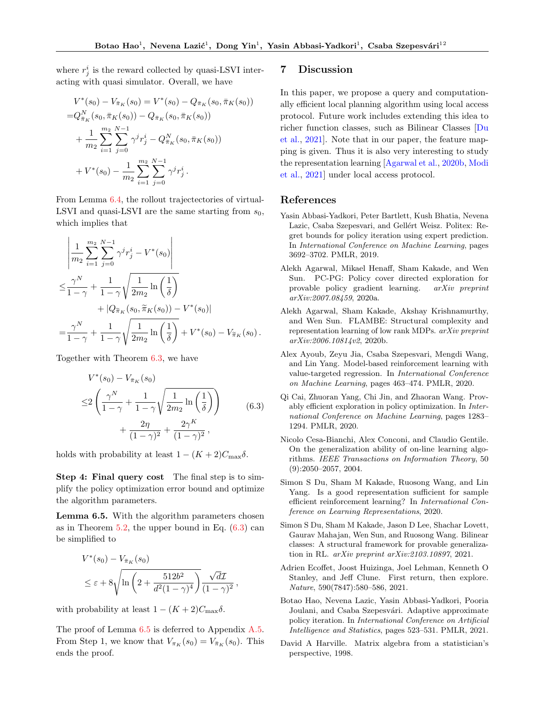where  $r_j^i$  is the reward collected by quasi-LSVI interacting with quasi simulator. Overall, we have

$$
V^*(s_0) - V_{\bar{\pi}_K}(s_0) = V^*(s_0) - Q_{\bar{\pi}_K}(s_0, \bar{\pi}_K(s_0))
$$
  
\n
$$
= Q_{\bar{\pi}_K}^N(s_0, \bar{\pi}_K(s_0)) - Q_{\bar{\pi}_K}(s_0, \bar{\pi}_K(s_0))
$$
  
\n
$$
+ \frac{1}{m_2} \sum_{i=1}^{m_2} \sum_{j=0}^{N-1} \gamma^j r_j^i - Q_{\bar{\pi}_K}(s_0, \bar{\pi}_K(s_0))
$$
  
\n
$$
+ V^*(s_0) - \frac{1}{m_2} \sum_{i=1}^{m_2} \sum_{j=0}^{N-1} \gamma^j r_j^i.
$$

From Lemma [6.4,](#page-7-2) the rollout trajectectories of virtual-LSVI and quasi-LSVI are the same starting from  $s_0$ , which implies that

$$
\frac{\left| \frac{1}{m_2} \sum_{i=1}^{m_2} \sum_{j=0}^{N-1} \gamma^j r_j^i - V^*(s_0) \right|}{\leq \frac{\gamma^N}{1-\gamma} + \frac{1}{1-\gamma} \sqrt{\frac{1}{2m_2} \ln\left(\frac{1}{\delta}\right)} + |Q_{\widetilde{\pi}_K}(s_0, \widetilde{\pi}_K(s_0)) - V^*(s_0)|}
$$
  
= 
$$
\frac{\gamma^N}{1-\gamma} + \frac{1}{1-\gamma} \sqrt{\frac{1}{2m_2} \ln\left(\frac{1}{\delta}\right)} + V^*(s_0) - V_{\widetilde{\pi}_K}(s_0).
$$

Together with Theorem [6.3,](#page-7-3) we have

<span id="page-8-9"></span>
$$
V^*(s_0) - V_{\bar{\pi}_K}(s_0)
$$
  
\n
$$
\leq 2\left(\frac{\gamma^N}{1-\gamma} + \frac{1}{1-\gamma}\sqrt{\frac{1}{2m_2}\ln\left(\frac{1}{\delta}\right)}\right) + \frac{2\eta}{(1-\gamma)^2} + \frac{2\gamma^K}{(1-\gamma)^2},
$$
\n(6.3)

holds with probability at least  $1 - (K + 2)C_{\text{max}}\delta$ .

Step 4: Final query cost The final step is to simplify the policy optimization error bound and optimize the algorithm parameters.

<span id="page-8-10"></span>Lemma 6.5. With the algorithm parameters chosen as in Theorem [5.2,](#page-4-4) the upper bound in Eq.  $(6.3)$  can be simplified to

$$
V^*(s_0) - V_{\bar{\pi}_K}(s_0)
$$
  
\n
$$
\leq \varepsilon + 8 \sqrt{\ln\left(2 + \frac{512b^2}{d^2(1-\gamma)^4}\right)} \frac{\sqrt{d\mathcal{I}}}{(1-\gamma)^2}
$$

,

with probability at least  $1 - (K + 2)C_{\text{max}}\delta$ .

The proof of Lemma  $6.5$  is deferred to Appendix [A.5.](#page-14-0) From Step 1, we know that  $V_{\pi_K}(s_0) = V_{\bar{\pi}_K}(s_0)$ . This ends the proof.

#### 7 Discussion

In this paper, we propose a query and computationally efficient local planning algorithm using local access protocol. Future work includes extending this idea to richer function classes, such as Bilinear Classes [\[Du](#page-8-1) [et al.,](#page-8-1) [2021\]](#page-8-1). Note that in our paper, the feature mapping is given. Thus it is also very interesting to study the representation learning [\[Agarwal et al.,](#page-8-11) [2020b,](#page-8-11) [Modi](#page-9-24) [et al.,](#page-9-24) [2021\]](#page-9-24) under local access protocol.

### References

- <span id="page-8-7"></span>Yasin Abbasi-Yadkori, Peter Bartlett, Kush Bhatia, Nevena Lazic, Csaba Szepesvari, and Gellért Weisz. Politex: Regret bounds for policy iteration using expert prediction. In International Conference on Machine Learning, pages 3692–3702. PMLR, 2019.
- <span id="page-8-4"></span>Alekh Agarwal, Mikael Henaff, Sham Kakade, and Wen Sun. PC-PG: Policy cover directed exploration for provable policy gradient learning. arXiv preprint arXiv:2007.08459, 2020a.
- <span id="page-8-11"></span>Alekh Agarwal, Sham Kakade, Akshay Krishnamurthy, and Wen Sun. FLAMBE: Structural complexity and representation learning of low rank MDPs. arXiv preprint arXiv:2006.10814v2, 2020b.
- <span id="page-8-6"></span>Alex Ayoub, Zeyu Jia, Csaba Szepesvari, Mengdi Wang, and Lin Yang. Model-based reinforcement learning with value-targeted regression. In International Conference on Machine Learning, pages 463–474. PMLR, 2020.
- <span id="page-8-5"></span>Qi Cai, Zhuoran Yang, Chi Jin, and Zhaoran Wang. Provably efficient exploration in policy optimization. In International Conference on Machine Learning, pages 1283– 1294. PMLR, 2020.
- <span id="page-8-3"></span>Nicolo Cesa-Bianchi, Alex Conconi, and Claudio Gentile. On the generalization ability of on-line learning algorithms. IEEE Transactions on Information Theory, 50 (9):2050–2057, 2004.
- <span id="page-8-2"></span>Simon S Du, Sham M Kakade, Ruosong Wang, and Lin Yang. Is a good representation sufficient for sample efficient reinforcement learning? In International Conference on Learning Representations, 2020.
- <span id="page-8-1"></span>Simon S Du, Sham M Kakade, Jason D Lee, Shachar Lovett, Gaurav Mahajan, Wen Sun, and Ruosong Wang. Bilinear classes: A structural framework for provable generalization in RL. arXiv preprint arXiv:2103.10897, 2021.
- <span id="page-8-0"></span>Adrien Ecoffet, Joost Huizinga, Joel Lehman, Kenneth O Stanley, and Jeff Clune. First return, then explore. Nature, 590(7847):580–586, 2021.
- <span id="page-8-8"></span>Botao Hao, Nevena Lazic, Yasin Abbasi-Yadkori, Pooria Joulani, and Csaba Szepesvári. Adaptive approximate policy iteration. In International Conference on Artificial Intelligence and Statistics, pages 523–531. PMLR, 2021.
- <span id="page-8-12"></span>David A Harville. Matrix algebra from a statistician's perspective, 1998.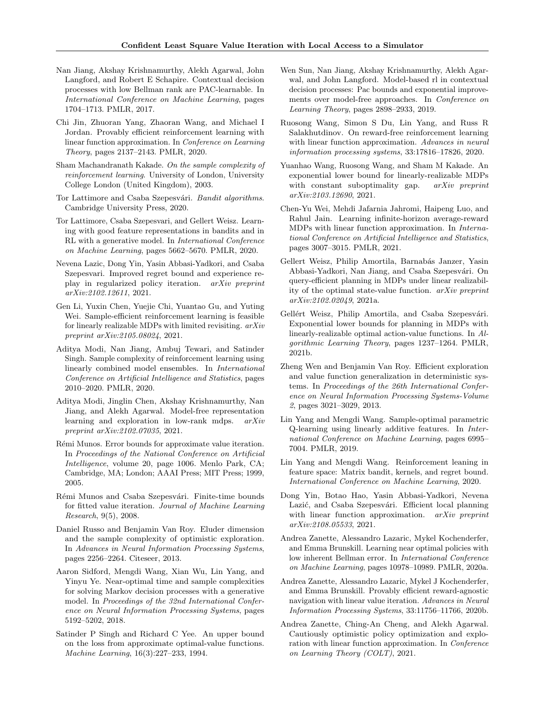- <span id="page-9-18"></span>Nan Jiang, Akshay Krishnamurthy, Alekh Agarwal, John Langford, and Robert E Schapire. Contextual decision processes with low Bellman rank are PAC-learnable. In International Conference on Machine Learning, pages 1704–1713. PMLR, 2017.
- <span id="page-9-9"></span>Chi Jin, Zhuoran Yang, Zhaoran Wang, and Michael I Jordan. Provably efficient reinforcement learning with linear function approximation. In Conference on Learning Theory, pages 2137–2143. PMLR, 2020.
- <span id="page-9-0"></span>Sham Machandranath Kakade. On the sample complexity of reinforcement learning. University of London, University College London (United Kingdom), 2003.
- <span id="page-9-26"></span>Tor Lattimore and Csaba Szepesvári. Bandit algorithms. Cambridge University Press, 2020.
- <span id="page-9-8"></span>Tor Lattimore, Csaba Szepesvari, and Gellert Weisz. Learning with good feature representations in bandits and in RL with a generative model. In International Conference on Machine Learning, pages 5662–5670. PMLR, 2020.
- <span id="page-9-20"></span>Nevena Lazic, Dong Yin, Yasin Abbasi-Yadkori, and Csaba Szepesvari. Improved regret bound and experience replay in regularized policy iteration. arXiv preprint arXiv:2102.12611, 2021.
- <span id="page-9-4"></span>Gen Li, Yuxin Chen, Yuejie Chi, Yuantao Gu, and Yuting Wei. Sample-efficient reinforcement learning is feasible for linearly realizable MDPs with limited revisiting. arXiv preprint arXiv:2105.08024, 2021.
- <span id="page-9-16"></span>Aditya Modi, Nan Jiang, Ambuj Tewari, and Satinder Singh. Sample complexity of reinforcement learning using linearly combined model ensembles. In International Conference on Artificial Intelligence and Statistics, pages 2010–2020. PMLR, 2020.
- <span id="page-9-24"></span>Aditya Modi, Jinglin Chen, Akshay Krishnamurthy, Nan Jiang, and Alekh Agarwal. Model-free representation learning and exploration in low-rank mdps. arXiv preprint arXiv:2102.07035, 2021.
- <span id="page-9-23"></span>Rémi Munos. Error bounds for approximate value iteration. In Proceedings of the National Conference on Artificial Intelligence, volume 20, page 1006. Menlo Park, CA; Cambridge, MA; London; AAAI Press; MIT Press; 1999, 2005.
- <span id="page-9-6"></span>Rémi Munos and Csaba Szepesvári. Finite-time bounds for fitted value iteration. Journal of Machine Learning Research, 9(5), 2008.
- <span id="page-9-22"></span>Daniel Russo and Benjamin Van Roy. Eluder dimension and the sample complexity of optimistic exploration. In Advances in Neural Information Processing Systems, pages 2256–2264. Citeseer, 2013.
- <span id="page-9-1"></span>Aaron Sidford, Mengdi Wang, Xian Wu, Lin Yang, and Yinyu Ye. Near-optimal time and sample complexities for solving Markov decision processes with a generative model. In Proceedings of the 32nd International Conference on Neural Information Processing Systems, pages 5192–5202, 2018.
- <span id="page-9-25"></span>Satinder P Singh and Richard C Yee. An upper bound on the loss from approximate optimal-value functions. Machine Learning, 16(3):227–233, 1994.
- <span id="page-9-19"></span>Wen Sun, Nan Jiang, Akshay Krishnamurthy, Alekh Agarwal, and John Langford. Model-based rl in contextual decision processes: Pac bounds and exponential improvements over model-free approaches. In Conference on Learning Theory, pages 2898–2933, 2019.
- <span id="page-9-13"></span>Ruosong Wang, Simon S Du, Lin Yang, and Russ R Salakhutdinov. On reward-free reinforcement learning with linear function approximation. Advances in neural information processing systems, 33:17816–17826, 2020.
- <span id="page-9-12"></span>Yuanhao Wang, Ruosong Wang, and Sham M Kakade. An exponential lower bound for linearly-realizable MDPs with constant suboptimality gap. arXiv preprint arXiv:2103.12690, 2021.
- <span id="page-9-21"></span>Chen-Yu Wei, Mehdi Jafarnia Jahromi, Haipeng Luo, and Rahul Jain. Learning infinite-horizon average-reward MDPs with linear function approximation. In International Conference on Artificial Intelligence and Statistics, pages 3007–3015. PMLR, 2021.
- <span id="page-9-17"></span>Gellert Weisz, Philip Amortila, Barnabás Janzer, Yasin Abbasi-Yadkori, Nan Jiang, and Csaba Szepesvári. On query-efficient planning in MDPs under linear realizability of the optimal state-value function. arXiv preprint arXiv:2102.02049, 2021a.
- <span id="page-9-11"></span>Gellért Weisz, Philip Amortila, and Csaba Szepesvári. Exponential lower bounds for planning in MDPs with linearly-realizable optimal action-value functions. In Algorithmic Learning Theory, pages 1237–1264. PMLR, 2021b.
- <span id="page-9-10"></span>Zheng Wen and Benjamin Van Roy. Efficient exploration and value function generalization in deterministic systems. In Proceedings of the 26th International Conference on Neural Information Processing Systems-Volume 2, pages 3021–3029, 2013.
- <span id="page-9-2"></span>Lin Yang and Mengdi Wang. Sample-optimal parametric Q-learning using linearly additive features. In International Conference on Machine Learning, pages 6995– 7004. PMLR, 2019.
- <span id="page-9-15"></span>Lin Yang and Mengdi Wang. Reinforcement leaning in feature space: Matrix bandit, kernels, and regret bound. International Conference on Machine Learning, 2020.
- <span id="page-9-3"></span>Dong Yin, Botao Hao, Yasin Abbasi-Yadkori, Nevena Lazić, and Csaba Szepesvári. Efficient local planning with linear function approximation. *arXiv preprint* arXiv:2108.05533, 2021.
- <span id="page-9-5"></span>Andrea Zanette, Alessandro Lazaric, Mykel Kochenderfer, and Emma Brunskill. Learning near optimal policies with low inherent Bellman error. In International Conference on Machine Learning, pages 10978–10989. PMLR, 2020a.
- <span id="page-9-7"></span>Andrea Zanette, Alessandro Lazaric, Mykel J Kochenderfer, and Emma Brunskill. Provably efficient reward-agnostic navigation with linear value iteration. Advances in Neural Information Processing Systems, 33:11756–11766, 2020b.
- <span id="page-9-14"></span>Andrea Zanette, Ching-An Cheng, and Alekh Agarwal. Cautiously optimistic policy optimization and exploration with linear function approximation. In Conference on Learning Theory (COLT), 2021.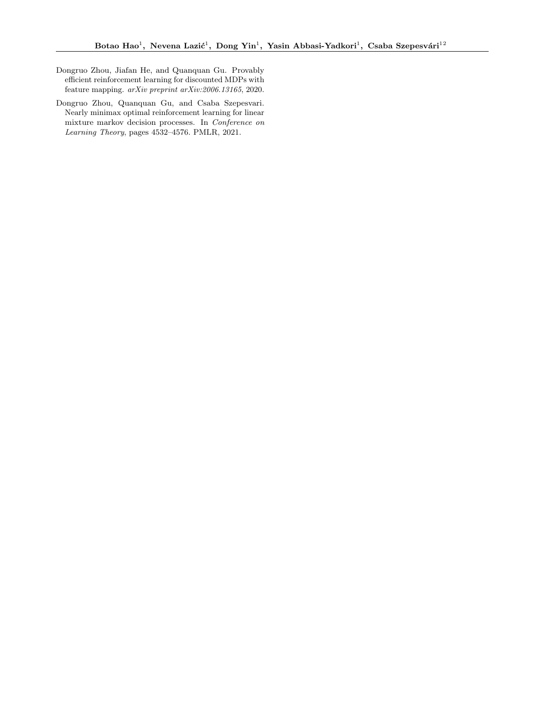- <span id="page-10-0"></span>Dongruo Zhou, Jiafan He, and Quanquan Gu. Provably efficient reinforcement learning for discounted MDPs with feature mapping. arXiv preprint arXiv:2006.13165, 2020.
- <span id="page-10-1"></span>Dongruo Zhou, Quanquan Gu, and Csaba Szepesvari. Nearly minimax optimal reinforcement learning for linear mixture markov decision processes. In Conference on Learning Theory, pages 4532–4576. PMLR, 2021.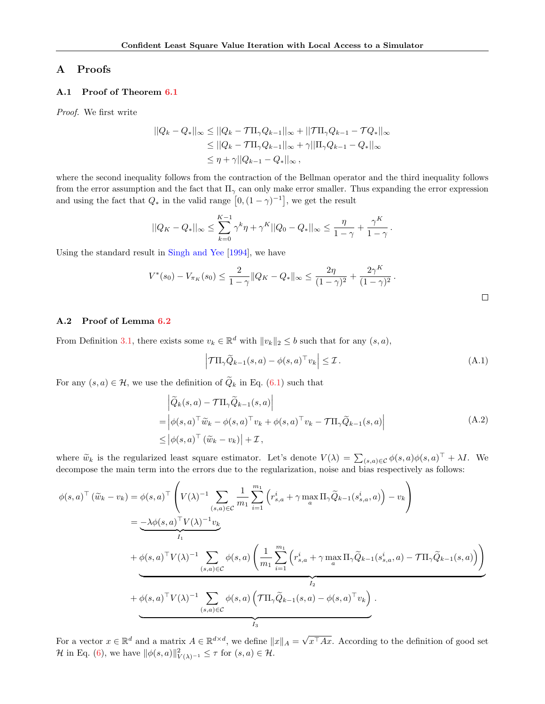### A Proofs

### <span id="page-11-0"></span>A.1 Proof of Theorem [6.1](#page-6-0)

Proof. We first write

$$
||Q_k - Q_*||_{\infty} \le ||Q_k - T\Pi_{\gamma} Q_{k-1}||_{\infty} + ||T\Pi_{\gamma} Q_{k-1} - TQ_*||_{\infty}
$$
  
\n
$$
\le ||Q_k - T\Pi_{\gamma} Q_{k-1}||_{\infty} + \gamma ||\Pi_{\gamma} Q_{k-1} - Q_*||_{\infty}
$$
  
\n
$$
\le \eta + \gamma ||Q_{k-1} - Q_*||_{\infty},
$$

where the second inequality follows from the contraction of the Bellman operator and the third inequality follows from the error assumption and the fact that  $\Pi_{\gamma}$  can only make error smaller. Thus expanding the error expression and using the fact that  $Q_*$  in the valid range  $[0, (1 - \gamma)^{-1}]$ , we get the result

$$
||Q_K-Q_*||_\infty\leq \sum_{k=0}^{K-1}\gamma^k\eta+\gamma^K||Q_0-Q_*||_\infty\leq \frac{\eta}{1-\gamma}+\frac{\gamma^K}{1-\gamma}\,.
$$

Using the standard result in [Singh and Yee](#page-9-25) [\[1994\]](#page-9-25), we have

$$
V^*(s_0) - V_{\pi_K}(s_0) \le \frac{2}{1-\gamma} \|Q_K - Q_*\|_{\infty} \le \frac{2\eta}{(1-\gamma)^2} + \frac{2\gamma^K}{(1-\gamma)^2}.
$$

#### <span id="page-11-1"></span>A.2 Proof of Lemma [6.2](#page-7-0)

From Definition [3.1,](#page-2-0) there exists some  $v_k \in \mathbb{R}^d$  with  $||v_k||_2 \leq b$  such that for any  $(s, a)$ ,

<span id="page-11-2"></span>
$$
\left| \mathcal{T} \Pi_{\gamma} \widetilde{Q}_{k-1}(s, a) - \phi(s, a)^{\top} v_{k} \right| \leq \mathcal{I}.
$$
\n(A.1)

<span id="page-11-3"></span>For any  $(s, a) \in \mathcal{H}$ , we use the definition of  $\tilde{Q}_k$  in Eq. [\(6.1\)](#page-7-1) such that

$$
\begin{aligned}\n&\left|\widetilde{Q}_k(s,a) - \mathcal{T}\Pi_\gamma \widetilde{Q}_{k-1}(s,a)\right| \\
&= \left|\phi(s,a)^\top \widetilde{w}_k - \phi(s,a)^\top v_k + \phi(s,a)^\top v_k - \mathcal{T}\Pi_\gamma \widetilde{Q}_{k-1}(s,a)\right| \\
&\leq \left|\phi(s,a)^\top \left(\widetilde{w}_k - v_k\right)\right| + \mathcal{I},\n\end{aligned} \tag{A.2}
$$

where  $\widetilde{w}_k$  is the regularized least square estimator. Let's denote  $V(\lambda) = \sum_{(s,a)\in\mathcal{C}} \phi(s,a) \phi(s,a)^{\top} + \lambda I$ . We decompose the main term into the errors due to the regularization, noise and bias respectively as follows:

$$
\phi(s,a)^{\top}(\widetilde{w}_{k}-v_{k}) = \phi(s,a)^{\top} \left(V(\lambda)^{-1} \sum_{(s,a) \in \mathcal{C}} \frac{1}{m_{1}} \sum_{i=1}^{m_{1}} \left(r_{s,a}^{i} + \gamma \max_{a} \Pi_{\gamma} \widetilde{Q}_{k-1}(s_{s,a}^{i},a)\right) - v_{k}\right)
$$
\n
$$
= \underbrace{-\lambda \phi(s,a)^{\top} V(\lambda)^{-1} v_{k}}_{I_{1}} + \underbrace{\phi(s,a)^{\top} V(\lambda)^{-1} \sum_{(s,a) \in \mathcal{C}} \phi(s,a) \left(\frac{1}{m_{1}} \sum_{i=1}^{m_{1}} \left(r_{s,a}^{i} + \gamma \max_{a} \Pi_{\gamma} \widetilde{Q}_{k-1}(s_{s,a}^{i},a) - \mathcal{T} \Pi_{\gamma} \widetilde{Q}_{k-1}(s,a)\right)\right)}_{I_{2}} + \underbrace{\phi(s,a)^{\top} V(\lambda)^{-1} \sum_{(s,a) \in \mathcal{C}} \phi(s,a) \left(\mathcal{T} \Pi_{\gamma} \widetilde{Q}_{k-1}(s,a) - \phi(s,a)^{\top} v_{k}\right)}_{I_{3}}.
$$

For a vector  $x \in \mathbb{R}^d$  and a matrix  $A \in \mathbb{R}^{d \times d}$ , we define  $||x||_A =$ √  $x^{\top}Ax$ . According to the definition of good set H in Eq. [\(6\)](#page-6-1), we have  $\|\phi(s, a)\|_{V(\lambda)^{-1}}^2 \leq \tau$  for  $(s, a) \in \mathcal{H}$ .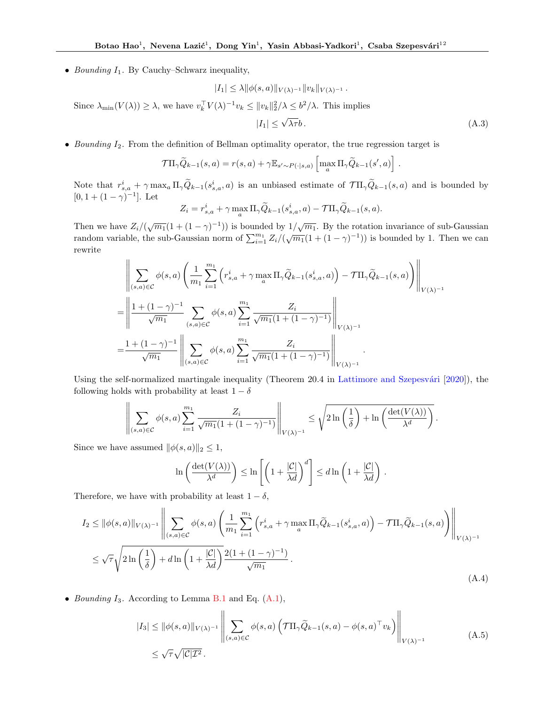• Bounding  $I_1$ . By Cauchy–Schwarz inequality,

$$
|I_1| \leq \lambda \|\phi(s,a)\|_{V(\lambda)^{-1}} \|v_k\|_{V(\lambda)^{-1}}.
$$

Since  $\lambda_{\min}(V(\lambda)) \geq \lambda$ , we have  $v_k^{\top} V(\lambda)^{-1} v_k \leq ||v_k||_2^2/\lambda \leq b^2/\lambda$ . This implies

$$
|I_1| \le \sqrt{\lambda \tau} b. \tag{A.3}
$$

• Bounding  $I_2$ . From the definition of Bellman optimality operator, the true regression target is

$$
\mathcal{T}\Pi_{\gamma}\widetilde{Q}_{k-1}(s,a) = r(s,a) + \gamma \mathbb{E}_{s' \sim P(\cdot|s,a)} \left[\max_{a} \Pi_{\gamma}\widetilde{Q}_{k-1}(s',a)\right].
$$

Note that  $r_{s,a}^i + \gamma \max_a \Pi_\gamma \tilde{Q}_{k-1}(s_{s,a}^i, a)$  is an unbiased estimate of  $\mathcal{T}\Pi_\gamma \tilde{Q}_{k-1}(s, a)$  and is bounded by  $[0, 1 + (1 - \gamma)^{-1}]$ . Let

$$
Z_i = r_{s,a}^i + \gamma \max_a \Pi_\gamma \widetilde{Q}_{k-1}(s_{s,a}^i, a) - \mathcal{T} \Pi_\gamma \widetilde{Q}_{k-1}(s, a).
$$

Then we have  $Z_i/(\sqrt{m_1}(1+(1-\gamma)^{-1}))$  is bounded by  $1/\sqrt{m_1}$ . By the rotation invariance of sub-Gaussian random variable, the sub-Gaussian norm of  $\sum_{i=1}^{m_1} Z_i/(\sqrt{m_1}(1 + (1 - \gamma)^{-1}))$  is bounded by 1. Then we can rewrite

$$
\begin{split}\n&\quad = \left\| \sum_{(s,a) \in \mathcal{C}} \phi(s,a) \left( \frac{1}{m_1} \sum_{i=1}^{m_1} \left( r_{s,a}^i + \gamma \max_a \Pi_\gamma \widetilde{Q}_{k-1}(s_{s,a}^i, a) \right) - \mathcal{T} \Pi_\gamma \widetilde{Q}_{k-1}(s, a) \right) \right\|_{V(\lambda)^{-1}} \\
&= \left\| \frac{1 + (1 - \gamma)^{-1}}{\sqrt{m_1}} \sum_{(s,a) \in \mathcal{C}} \phi(s,a) \sum_{i=1}^{m_1} \frac{Z_i}{\sqrt{m_1} (1 + (1 - \gamma)^{-1})} \right\|_{V(\lambda)^{-1}} \\
&= \frac{1 + (1 - \gamma)^{-1}}{\sqrt{m_1}} \left\| \sum_{(s,a) \in \mathcal{C}} \phi(s,a) \sum_{i=1}^{m_1} \frac{Z_i}{\sqrt{m_1} (1 + (1 - \gamma)^{-1})} \right\|_{V(\lambda)^{-1}}.\n\end{split}
$$

Using the self-normalized martingale inequality (Theorem  $20.4$  in Lattimore and Szepesvári [\[2020\]](#page-9-26)), the following holds with probability at least  $1 - \delta$ 

$$
\left\| \sum_{(s,a)\in\mathcal{C}} \phi(s,a) \sum_{i=1}^{m_1} \frac{Z_i}{\sqrt{m_1}(1+(1-\gamma)^{-1})} \right\|_{V(\lambda)^{-1}} \leq \sqrt{2\ln\left(\frac{1}{\delta}\right)+\ln\left(\frac{\det(V(\lambda))}{\lambda^d}\right)}.
$$

Since we have assumed  $\|\phi(s, a)\|_2 \leq 1$ ,

$$
\ln\left(\frac{\det(V(\lambda))}{\lambda^d}\right) \leq \ln\left[\left(1+\frac{|\mathcal{C}|}{\lambda d}\right)^d\right] \leq d\ln\left(1+\frac{|\mathcal{C}|}{\lambda d}\right).
$$

Therefore, we have with probability at least  $1 - \delta$ ,

$$
I_2 \le ||\phi(s,a)||_{V(\lambda)^{-1}} \left\| \sum_{(s,a)\in\mathcal{C}} \phi(s,a) \left( \frac{1}{m_1} \sum_{i=1}^{m_1} \left( r_{s,a}^i + \gamma \max_a \Pi_\gamma \widetilde{Q}_{k-1}(s_{s,a}^i, a) \right) - \mathcal{T} \Pi_\gamma \widetilde{Q}_{k-1}(s,a) \right) \right\|_{V(\lambda)^{-1}}
$$
  

$$
\le \sqrt{\tau} \sqrt{2\ln\left(\frac{1}{\delta}\right)} + d\ln\left(1 + \frac{|\mathcal{C}|}{\lambda d}\right) \frac{2(1 + (1 - \gamma)^{-1})}{\sqrt{m_1}}.
$$
 (A.4)

<span id="page-12-0"></span>• Bounding  $I_3$ . According to Lemma [B.1](#page-15-0) and Eq.  $(A.1)$ ,

$$
|I_3| \le ||\phi(s,a)||_{V(\lambda)^{-1}} \left\| \sum_{(s,a)\in\mathcal{C}} \phi(s,a) \left( \mathcal{T} \Pi_\gamma \widetilde{Q}_{k-1}(s,a) - \phi(s,a)^\top v_k \right) \right\|_{V(\lambda)^{-1}} \tag{A.5}
$$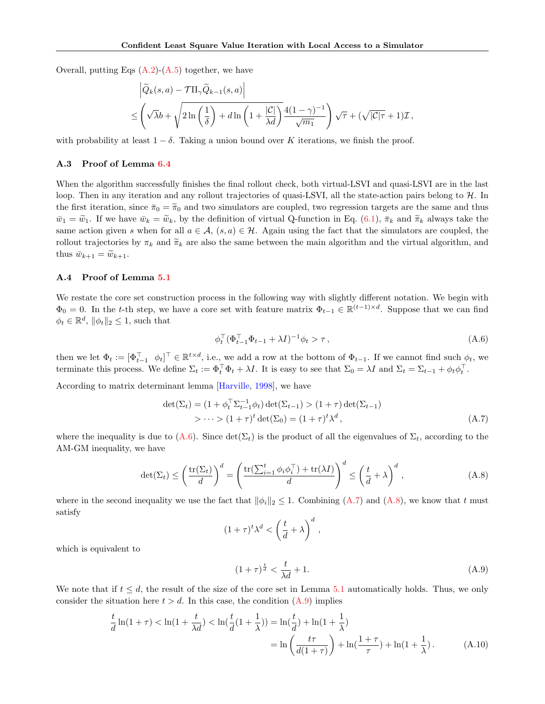Overall, putting Eqs  $(A.2)-(A.5)$  $(A.2)-(A.5)$  $(A.2)-(A.5)$  together, we have

$$
\left| \widetilde{Q}_k(s, a) - \mathcal{T} \Pi_\gamma \widetilde{Q}_{k-1}(s, a) \right|
$$
  

$$
\leq \left( \sqrt{\lambda} b + \sqrt{2 \ln \left( \frac{1}{\delta} \right) + d \ln \left( 1 + \frac{|\mathcal{C}|}{\lambda d} \right)} \frac{4(1 - \gamma)^{-1}}{\sqrt{m_1}} \right) \sqrt{\tau} + (\sqrt{|\mathcal{C}|\tau} + 1) \mathcal{I},
$$

with probability at least  $1 - \delta$ . Taking a union bound over K iterations, we finish the proof.

#### A.3 Proof of Lemma [6.4](#page-7-2)

When the algorithm successfully finishes the final rollout check, both virtual-LSVI and quasi-LSVI are in the last loop. Then in any iteration and any rollout trajectories of quasi-LSVI, all the state-action pairs belong to  $H$ . In the first iteration, since  $\bar{\pi}_0 = \tilde{\pi}_0$  and two simulators are coupled, two regression targets are the same and thus  $\bar{w}_1 = \tilde{w}_1$ . If we have  $\bar{w}_k = \tilde{w}_k$ , by the definition of virtual Q-function in Eq. [\(6.1\)](#page-7-1),  $\bar{\pi}_k$  and  $\tilde{\pi}_k$  always take the same action given s when for all  $a \in \mathcal{A}$ ,  $(s, a) \in \mathcal{H}$ . Again using the fact that the simulators are coupled, the rollout trajectories by  $\pi_k$  and  $\widetilde{\pi}_k$  are also the same between the main algorithm and the virtual algorithm, and thus  $\bar{w}_{k+1} = \tilde{w}_{k+1}$ .

### A.4 Proof of Lemma [5.1](#page-4-3)

We restate the core set construction process in the following way with slightly different notation. We begin with  $\Phi_0 = 0$ . In the t-th step, we have a core set with feature matrix  $\Phi_{t-1} \in \mathbb{R}^{(t-1) \times d}$ . Suppose that we can find  $\phi_t \in \mathbb{R}^d$ ,  $\|\phi_t\|_2 \leq 1$ , such that

<span id="page-13-1"></span><span id="page-13-0"></span>
$$
\phi_t^\top (\Phi_{t-1}^\top \Phi_{t-1} + \lambda I)^{-1} \phi_t > \tau \,, \tag{A.6}
$$

then we let  $\Phi_t := [\Phi_{t-1}^\top \phi_t]^\top \in \mathbb{R}^{t \times d}$ , i.e., we add a row at the bottom of  $\Phi_{t-1}$ . If we cannot find such  $\phi_t$ , we terminate this process. We define  $\Sigma_t := \Phi_t^\top \Phi_t + \lambda I$ . It is easy to see that  $\Sigma_0 = \lambda I$  and  $\Sigma_t = \Sigma_{t-1} + \phi_t \phi_t^\top$ .

According to matrix determinant lemma [\[Harville,](#page-8-12) [1998\]](#page-8-12), we have

$$
\det(\Sigma_t) = (1 + \phi_t^\top \Sigma_{t-1}^{-1} \phi_t) \det(\Sigma_{t-1}) > (1 + \tau) \det(\Sigma_{t-1})
$$
  
 
$$
> \cdots > (1 + \tau)^t \det(\Sigma_0) = (1 + \tau)^t \lambda^d,
$$
 (A.7)

where the inequality is due to [\(A.6\)](#page-13-0). Since  $\det(\Sigma_t)$  is the product of all the eigenvalues of  $\Sigma_t$ , according to the AM-GM inequality, we have

$$
\det(\Sigma_t) \le \left(\frac{\text{tr}(\Sigma_t)}{d}\right)^d = \left(\frac{\text{tr}(\sum_{i=1}^t \phi_i \phi_i^\top) + \text{tr}(\lambda I)}{d}\right)^d \le \left(\frac{t}{d} + \lambda\right)^d,
$$
\n(A.8)

where in the second inequality we use the fact that  $\|\phi_i\|_2 \leq 1$ . Combining  $(A.7)$  and  $(A.8)$ , we know that t must satisfy

<span id="page-13-2"></span>
$$
(1+\tau)^t \lambda^d < \left(\frac{t}{d} + \lambda\right)^d,
$$

which is equivalent to

<span id="page-13-3"></span>
$$
(1+\tau)^{\frac{t}{d}} < \frac{t}{\lambda d} + 1. \tag{A.9}
$$

We note that if  $t \leq d$ , the result of the size of the core set in Lemma [5.1](#page-4-3) automatically holds. Thus, we only consider the situation here  $t > d$ . In this case, the condition  $(A.9)$  implies

$$
\frac{t}{d}\ln(1+\tau) < \ln(1+\frac{t}{\lambda d}) < \ln(\frac{t}{d}(1+\frac{1}{\lambda})) = \ln(\frac{t}{d}) + \ln(1+\frac{1}{\lambda}) \\
= \ln\left(\frac{t\tau}{d(1+\tau)}\right) + \ln(\frac{1+\tau}{\tau}) + \ln(1+\frac{1}{\lambda}).\n\tag{A.10}
$$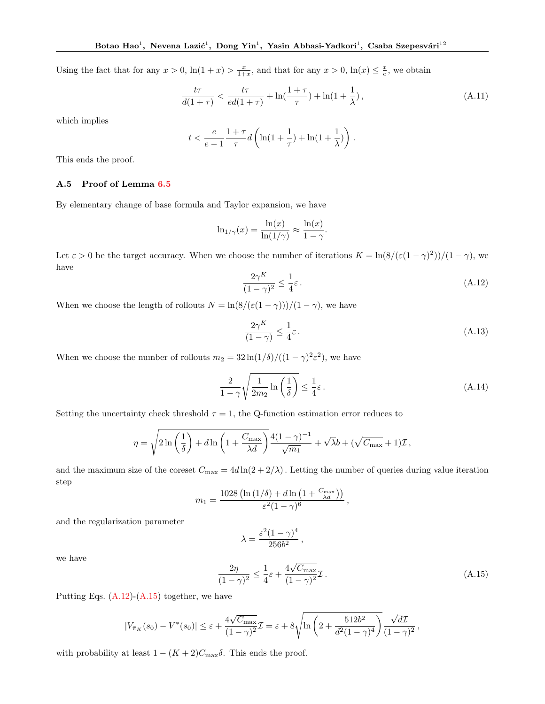Using the fact that for any  $x > 0$ ,  $\ln(1+x) > \frac{x}{1+x}$ , and that for any  $x > 0$ ,  $\ln(x) \leq \frac{x}{e}$ , we obtain

$$
\frac{t\tau}{d(1+\tau)} < \frac{t\tau}{ed(1+\tau)} + \ln\left(\frac{1+\tau}{\tau}\right) + \ln(1+\frac{1}{\lambda}),\tag{A.11}
$$

which implies

$$
t < \frac{e}{e-1} \frac{1+\tau}{\tau} d\left(\ln(1+\frac{1}{\tau}) + \ln(1+\frac{1}{\lambda})\right) \, .
$$

This ends the proof.

#### <span id="page-14-0"></span>A.5 Proof of Lemma [6.5](#page-8-10)

By elementary change of base formula and Taylor expansion, we have

$$
\ln_{1/\gamma}(x) = \frac{\ln(x)}{\ln(1/\gamma)} \approx \frac{\ln(x)}{1 - \gamma}.
$$

Let  $\varepsilon > 0$  be the target accuracy. When we choose the number of iterations  $K = \ln(8/(\varepsilon(1-\gamma)^2))/(1-\gamma)$ , we have

<span id="page-14-1"></span>
$$
\frac{2\gamma^K}{(1-\gamma)^2} \le \frac{1}{4}\varepsilon\,. \tag{A.12}
$$

When we choose the length of rollouts  $N = \ln(8/(\varepsilon(1-\gamma)))/(1-\gamma)$ , we have

$$
\frac{2\gamma^K}{(1-\gamma)} \le \frac{1}{4}\varepsilon\,. \tag{A.13}
$$

When we choose the number of rollouts  $m_2 = 32 \ln(1/\delta)/((1-\gamma)^2 \varepsilon^2)$ , we have

$$
\frac{2}{1-\gamma}\sqrt{\frac{1}{2m_2}\ln\left(\frac{1}{\delta}\right)} \le \frac{1}{4}\varepsilon.
$$
\n(A.14)

Setting the uncertainty check threshold  $\tau = 1$ , the Q-function estimation error reduces to

$$
\eta = \sqrt{2\ln\left(\frac{1}{\delta}\right) + d\ln\left(1 + \frac{C_{\max}}{\lambda d}\right)} \frac{4(1-\gamma)^{-1}}{\sqrt{m_1}} + \sqrt{\lambda}b + (\sqrt{C_{\max}} + 1)\mathcal{I},
$$

and the maximum size of the coreset  $C_{\text{max}} = 4d \ln(2 + 2/\lambda)$ . Letting the number of queries during value iteration step

$$
m_1 = \frac{1028\left(\ln\left(1/\delta\right) + d\ln\left(1 + \frac{C_{\max}}{\lambda d}\right)\right)}{\varepsilon^2 (1 - \gamma)^6},
$$

and the regularization parameter

$$
\lambda = \frac{\varepsilon^2 (1 - \gamma)^4}{256 b^2} \,,
$$

we have

<span id="page-14-2"></span>
$$
\frac{2\eta}{(1-\gamma)^2} \le \frac{1}{4}\varepsilon + \frac{4\sqrt{C_{\text{max}}}}{(1-\gamma)^2}\mathcal{I}.
$$
\n(A.15)

,

Putting Eqs. [\(A.12\)](#page-14-1)-[\(A.15\)](#page-14-2) together, we have

$$
|V_{\bar{\pi}_K}(s_0) - V^*(s_0)| \leq \varepsilon + \frac{4\sqrt{C_{\max}}}{(1-\gamma)^2} \mathcal{I} = \varepsilon + 8\sqrt{\ln\left(2 + \frac{512b^2}{d^2(1-\gamma)^4}\right)} \frac{\sqrt{d\mathcal{I}}}{(1-\gamma)^2}
$$

with probability at least  $1 - (K + 2)C_{\text{max}}\delta$ . This ends the proof.